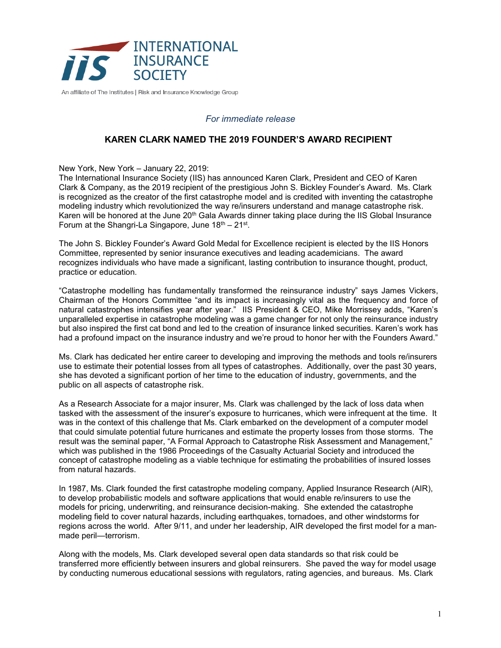

An affiliate of The Institutes | Risk and Insurance Knowledge Group

## *For immediate release*

# **KAREN CLARK NAMED THE 2019 FOUNDER'S AWARD RECIPIENT**

New York, New York – January 22, 2019:

The International Insurance Society (IIS) has announced Karen Clark, President and CEO of Karen Clark & Company, as the 2019 recipient of the prestigious John S. Bickley Founder's Award. Ms. Clark is recognized as the creator of the first catastrophe model and is credited with inventing the catastrophe modeling industry which revolutionized the way re/insurers understand and manage catastrophe risk. Karen will be honored at the June 20<sup>th</sup> Gala Awards dinner taking place during the IIS Global Insurance Forum at the Shangri-La Singapore, June  $18<sup>th</sup> - 21<sup>st</sup>$ .

The John S. Bickley Founder's Award Gold Medal for Excellence recipient is elected by the IIS Honors Committee, represented by senior insurance executives and leading academicians. The award recognizes individuals who have made a significant, lasting contribution to insurance thought, product, practice or education.

"Catastrophe modelling has fundamentally transformed the reinsurance industry" says James Vickers, Chairman of the Honors Committee "and its impact is increasingly vital as the frequency and force of natural catastrophes intensifies year after year." IIS President & CEO, Mike Morrissey adds, "Karen's unparalleled expertise in catastrophe modeling was a game changer for not only the reinsurance industry but also inspired the first cat bond and led to the creation of insurance linked securities. Karen's work has had a profound impact on the insurance industry and we're proud to honor her with the Founders Award."

Ms. Clark has dedicated her entire career to developing and improving the methods and tools re/insurers use to estimate their potential losses from all types of catastrophes. Additionally, over the past 30 years, she has devoted a significant portion of her time to the education of industry, governments, and the public on all aspects of catastrophe risk.

As a Research Associate for a major insurer, Ms. Clark was challenged by the lack of loss data when tasked with the assessment of the insurer's exposure to hurricanes, which were infrequent at the time. It was in the context of this challenge that Ms. Clark embarked on the development of a computer model that could simulate potential future hurricanes and estimate the property losses from those storms. The result was the seminal paper, "A Formal Approach to Catastrophe Risk Assessment and Management," which was published in the 1986 Proceedings of the Casualty Actuarial Society and introduced the concept of catastrophe modeling as a viable technique for estimating the probabilities of insured losses from natural hazards.

In 1987, Ms. Clark founded the first catastrophe modeling company, Applied Insurance Research (AIR), to develop probabilistic models and software applications that would enable re/insurers to use the models for pricing, underwriting, and reinsurance decision-making. She extended the catastrophe modeling field to cover natural hazards, including earthquakes, tornadoes, and other windstorms for regions across the world. After 9/11, and under her leadership, AIR developed the first model for a manmade peril—terrorism.

Along with the models, Ms. Clark developed several open data standards so that risk could be transferred more efficiently between insurers and global reinsurers. She paved the way for model usage by conducting numerous educational sessions with regulators, rating agencies, and bureaus. Ms. Clark